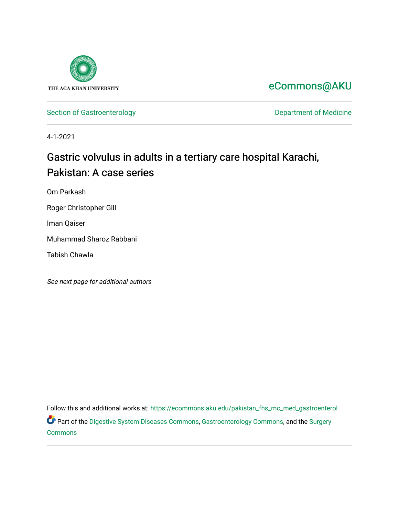

[eCommons@AKU](https://ecommons.aku.edu/) 

[Section of Gastroenterology](https://ecommons.aku.edu/pakistan_fhs_mc_med_gastroenterol) **Department of Medicine** 

4-1-2021

# Gastric volvulus in adults in a tertiary care hospital Karachi, Pakistan: A case series

Om Parkash

Roger Christopher Gill

Iman Qaiser

Muhammad Sharoz Rabbani

Tabish Chawla

See next page for additional authors

Follow this and additional works at: [https://ecommons.aku.edu/pakistan\\_fhs\\_mc\\_med\\_gastroenterol](https://ecommons.aku.edu/pakistan_fhs_mc_med_gastroenterol?utm_source=ecommons.aku.edu%2Fpakistan_fhs_mc_med_gastroenterol%2F309&utm_medium=PDF&utm_campaign=PDFCoverPages) Part of the [Digestive System Diseases Commons](http://network.bepress.com/hgg/discipline/986?utm_source=ecommons.aku.edu%2Fpakistan_fhs_mc_med_gastroenterol%2F309&utm_medium=PDF&utm_campaign=PDFCoverPages), [Gastroenterology Commons,](http://network.bepress.com/hgg/discipline/687?utm_source=ecommons.aku.edu%2Fpakistan_fhs_mc_med_gastroenterol%2F309&utm_medium=PDF&utm_campaign=PDFCoverPages) and the [Surgery](http://network.bepress.com/hgg/discipline/706?utm_source=ecommons.aku.edu%2Fpakistan_fhs_mc_med_gastroenterol%2F309&utm_medium=PDF&utm_campaign=PDFCoverPages)  [Commons](http://network.bepress.com/hgg/discipline/706?utm_source=ecommons.aku.edu%2Fpakistan_fhs_mc_med_gastroenterol%2F309&utm_medium=PDF&utm_campaign=PDFCoverPages)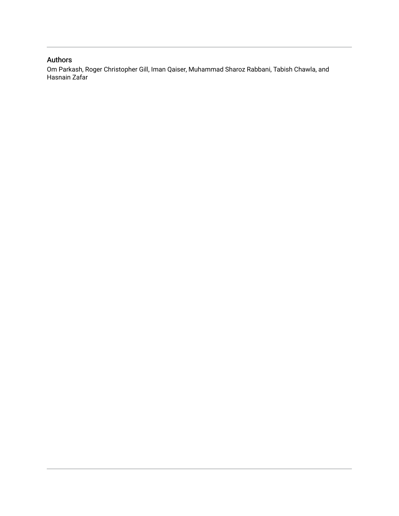# Authors

Om Parkash, Roger Christopher Gill, Iman Qaiser, Muhammad Sharoz Rabbani, Tabish Chawla, and Hasnain Zafar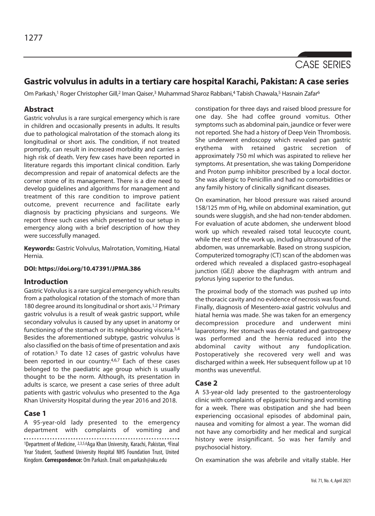# CASE SERIES

# **Gastric volvulus in adults in a tertiary care hospital Karachi, Pakistan: A case series**

Om Parkash,<sup>1</sup> Roger Christopher Gill,<sup>2</sup> Iman Qaiser,<sup>3</sup> Muhammad Sharoz Rabbani,<sup>4</sup> Tabish Chawala,<sup>5</sup> Hasnain Zafar<sup>6</sup>

## **Abstract**

Gastric volvulus is a rare surgical emergency which is rare in children and occasionally presents in adults. It results due to pathological malrotation of the stomach along its longitudinal or short axis. The condition, if not treated promptly, can result in increased morbidity and carries a high risk of death. Very few cases have been reported in literature regards this important clinical condition. Early decompression and repair of anatomical defects are the corner stone of its management. There is a dire need to develop guidelines and algorithms for management and treatment of this rare condition to improve patient outcome, prevent recurrence and facilitate early diagnosis by practicing physicians and surgeons. We report three such cases which presented to our setup in emergency along with a brief description of how they were successfully managed.

**Keywords:** Gastric Volvulus, Malrotation, Vomiting, Hiatal Hernia.

#### **DOI: https://doi.org/10.47391/JPMA.386**

#### **Introduction**

Gastric Volvulus is a rare surgical emergency which results from a pathological rotation of the stomach of more than 180 degree around its longitudinal or short axis.1,2 Primary gastric volvulus is a result of weak gastric support, while secondary volvulus is caused by any upset in anatomy or functioning of the stomach or its neighbouring viscera.3,4 Besides the aforementioned subtype, gastric volvulus is also classified on the basis of time of presentation and axis of rotation.5 To date 12 cases of gastric volvulus have been reported in our country.<sup>4,6,7</sup> Each of these cases belonged to the paediatric age group which is usually thought to be the norm. Although, its presentation in adults is scarce, we present a case series of three adult patients with gastric volvulus who presented to the Aga Khan University Hospital during the year 2016 and 2018.

## **Case 1**

A 95-year-old lady presented to the emergency department with complaints of vomiting and 1Department of Medicine, 2,3,5,6Aga Khan University, Karachi, Pakistan, 4Final Year Student, Southend University Hospital NHS Foundation Trust, United Kingdom. **Correspondence:** Om Parkash. Email: om.parkash@aku.edu

constipation for three days and raised blood pressure for one day. She had coffee ground vomitus. Other symptoms such as abdominal pain, jaundice or fever were not reported. She had a history of Deep Vein Thrombosis. She underwent endoscopy which revealed pan gastric erythema with retained gastric secretion of approximately 750 ml which was aspirated to relieve her symptoms. At presentation, she was taking Domperidone and Proton pump inhibitor prescribed by a local doctor. She was allergic to Penicillin and had no comorbidities or any family history of clinically significant diseases.

On examination, her blood pressure was raised around 158/125 mm of Hg, while on abdominal examination, gut sounds were sluggish, and she had non-tender abdomen. For evaluation of acute abdomen, she underwent blood work up which revealed raised total leucocyte count, while the rest of the work up, including ultrasound of the abdomen, was unremarkable. Based on strong suspicion, Computerized tomography (CT) scan of the abdomen was ordered which revealed a displaced gastro-esophageal junction (GEJ) above the diaphragm with antrum and pylorus lying superior to the fundus.

The proximal body of the stomach was pushed up into the thoracic cavity and no evidence of necrosis was found. Finally, diagnosis of Mesentero-axial gastric volvulus and hiatal hernia was made. She was taken for an emergency decompression procedure and underwent mini laparotomy. Her stomach was de-rotated and gastropexy was performed and the hernia reduced into the abdominal cavity without any fundoplication. Postoperatively she recovered very well and was discharged within a week. Her subsequent follow up at 10 months was uneventful.

## **Case 2**

A 53-year-old lady presented to the gastroenterology clinic with complaints of epigastric burning and vomiting for a week. There was obstipation and she had been experiencing occasional episodes of abdominal pain, nausea and vomiting for almost a year. The woman did not have any comorbidity and her medical and surgical history were insignificant. So was her family and psychosocial history.

On examination she was afebrile and vitally stable. Her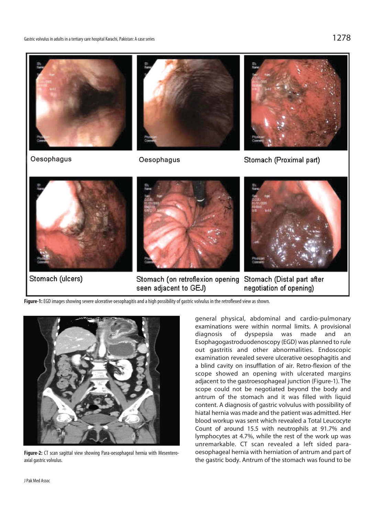

Oesophagus

Oesophagus

Stomach (Proximal part)



Stomach (ulcers)



Stomach (on retroflexion opening Stomach (Distal part after negotiation of opening) seen adjacent to GEJ)

**Figure-1:** EGD images showing severe ulcerative oesophagitis and a high possibility of gastric volvulus in the retroflexed view as shown.



**Figure-2:** CT scan sagittal view showing Para-oesophageal hernia with Mesenteroaxial gastric volvulus.

general physical, abdominal and cardio-pulmonary examinations were within normal limits. A provisional diagnosis of dyspepsia was made and an Esophagogastroduodenoscopy (EGD) was planned to rule out gastritis and other abnormalities. Endoscopic examination revealed severe ulcerative oesophagitis and a blind cavity on insufflation of air. Retro-flexion of the scope showed an opening with ulcerated margins adjacent to the gastroesophageal junction (Figure-1). The scope could not be negotiated beyond the body and antrum of the stomach and it was filled with liquid content. A diagnosis of gastric volvulus with possibility of hiatal hernia was made and the patient was admitted. Her blood workup was sent which revealed a Total Leucocyte Count of around 15.5 with neutrophils at 91.7% and lymphocytes at 4.7%, while the rest of the work up was unremarkable. CT scan revealed a left sided paraoesophageal hernia with herniation of antrum and part of the gastric body. Antrum of the stomach was found to be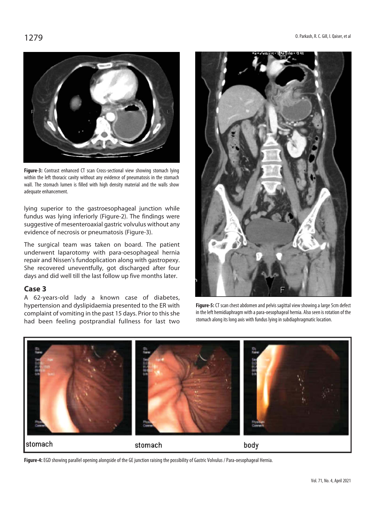

Figure-3: Contrast enhanced CT scan Cross-sectional view showing stomach lying within the left thoracic cavity without any evidence of pneumatosis in the stomach wall. The stomach lumen is filled with high density material and the walls show adequate enhancement.

lying superior to the gastroesophageal junction while fundus was lying inferiorly (Figure-2). The findings were suggestive of mesenteroaxial gastric volvulus without any evidence of necrosis or pneumatosis (Figure-3).

The surgical team was taken on board. The patient underwent laparotomy with para-oesophageal hernia repair and Nissen's fundoplication along with gastropexy. She recovered uneventfully, got discharged after four days and did well till the last follow up five months later.

#### **Case 3**

A 62-years-old lady a known case of diabetes, hypertension and dyslipidaemia presented to the ER with complaint of vomiting in the past 15 days. Prior to this she had been feeling postprandial fullness for last two



**Figure-5:** CT scan chest abdomen and pelvis sagittal view showing a large 5cm defect in the left hemidiaphragm with a para-oesophageal hernia. Also seen is rotation of the stomach along its long axis with fundus lying in subdiaphragmatic location.



**Figure-4:** EGD showing parallel opening alongside of the GE junction raising the possibility of Gastric Volvulus / Para-oesophageal Hernia.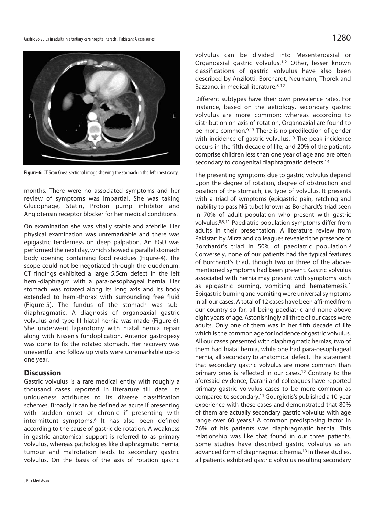

**Figure-6:** CT Scan Cross-sectional image showing the stomach in the left chest cavity.

months. There were no associated symptoms and her review of symptoms was impartial. She was taking Glucophage, Statin, Proton pump inhibitor and Angiotensin receptor blocker for her medical conditions.

On examination she was vitally stable and afebrile. Her physical examination was unremarkable and there was epigastric tenderness on deep palpation. An EGD was performed the next day, which showed a parallel stomach body opening containing food residues (Figure-4). The scope could not be negotiated through the duodenum. CT findings exhibited a large 5.5cm defect in the left hemi-diaphragm with a para-oesophageal hernia. Her stomach was rotated along its long axis and its body extended to hemi-thorax with surrounding free fluid (Figure-5). The fundus of the stomach was subdiaphragmatic. A diagnosis of organoaxial gastric volvulus and type III hiatal hernia was made (Figure-6). She underwent laparotomy with hiatal hernia repair along with Nissen's fundoplication. Anterior gastropexy was done to fix the rotated stomach. Her recovery was uneventful and follow up visits were unremarkable up-to one year.

## **Discussion**

Gastric volvulus is a rare medical entity with roughly a thousand cases reported in literature till date. Its uniqueness attributes to its diverse classification schemes. Broadly it can be defined as acute if presenting with sudden onset or chronic if presenting with intermittent symptoms.6 It has also been defined according to the cause of gastric de-rotation. A weakness in gastric anatomical support is referred to as primary volvulus, whereas pathologies like diaphragmatic hernia, tumour and malrotation leads to secondary gastric volvulus. On the basis of the axis of rotation gastric

volvulus can be divided into Mesenteroaxial or Organoaxial gastric volvulus.1,2 Other, lesser known classifications of gastric volvulus have also been described by Anzilotti, Borchardt, Neumann, Thorek and Bazzano, in medical literature.8-12

Different subtypes have their own prevalence rates. For instance, based on the aetiology, secondary gastric volvulus are more common; whereas according to distribution on axis of rotation, Organoaxial are found to be more common.9,13 There is no predilection of gender with incidence of gastric volvulus.10 The peak incidence occurs in the fifth decade of life, and 20% of the patients comprise children less than one year of age and are often secondary to congenital diaphragmatic defects.14

The presenting symptoms due to gastric volvulus depend upon the degree of rotation, degree of obstruction and position of the stomach, i.e. type of volvulus. It presents with a triad of symptoms (epigastric pain, retching and inability to pass NG tube) known as Borchardt's triad seen in 70% of adult population who present with gastric volvulus.8,9,11 Paediatric population symptoms differ from adults in their presentation. A literature review from Pakistan by Mirza and colleagues revealed the presence of Borchardt's triad in 50% of paediatric population.3 Conversely, none of our patients had the typical features of Borchardt's triad, though two or three of the abovementioned symptoms had been present. Gastric volvulus associated with hernia may present with symptoms such as epigastric burning, vomiting and hematemesis.<sup>1</sup> Epigastric burning and vomiting were universal symptoms in all our cases. A total of 12 cases have been affirmed from our country so far, all being paediatric and none above eight years of age. Astonishingly all three of our cases were adults. Only one of them was in her fifth decade of life which is the common age for incidence of gastric volvulus. All our cases presented with diaphragmatic hernias; two of them had hiatal hernia, while one had para-oesophageal hernia, all secondary to anatomical defect. The statement that secondary gastric volvulus are more common than primary ones is reflected in our cases.12 Contrary to the aforesaid evidence, Darani and colleagues have reported primary gastric volvulus cases to be more common as compared to secondary.11 Gourgiotis's published a 10-year experience with these cases and demonstrated that 80% of them are actually secondary gastric volvulus with age range over 60 years.<sup>1</sup> A common predisposing factor in 76% of his patients was diaphragmatic hernia. This relationship was like that found in our three patients. Some studies have described gastric volvulus as an advanced form of diaphragmatic hernia.13 In these studies, all patients exhibited gastric volvulus resulting secondary